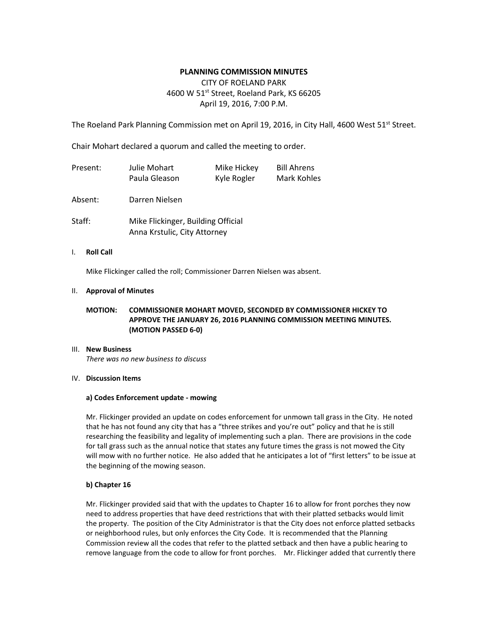# **PLANNING COMMISSION MINUTES**

# CITY OF ROELAND PARK 4600 W 51<sup>st</sup> Street, Roeland Park, KS 66205 April 19, 2016, 7:00 P.M.

The Roeland Park Planning Commission met on April 19, 2016, in City Hall, 4600 West 51<sup>st</sup> Street.

Chair Mohart declared a quorum and called the meeting to order.

| Present: | Julie Mohart<br>Paula Gleason                                      | Mike Hickey<br>Kyle Rogler | <b>Bill Ahrens</b><br>Mark Kohles |
|----------|--------------------------------------------------------------------|----------------------------|-----------------------------------|
| Absent:  | Darren Nielsen                                                     |                            |                                   |
| Staff:   | Mike Flickinger, Building Official<br>Anna Krstulic, City Attorney |                            |                                   |

#### I. **Roll Call**

Mike Flickinger called the roll; Commissioner Darren Nielsen was absent.

#### II. **Approval of Minutes**

# **MOTION: COMMISSIONER MOHART MOVED, SECONDED BY COMMISSIONER HICKEY TO APPROVE THE JANUARY 26, 2016 PLANNING COMMISSION MEETING MINUTES. (MOTION PASSED 6-0)**

### III. **New Business**

*There was no new business to discuss*

#### IV. **Discussion Items**

#### **a) Codes Enforcement update - mowing**

Mr. Flickinger provided an update on codes enforcement for unmown tall grass in the City. He noted that he has not found any city that has a "three strikes and you're out" policy and that he is still researching the feasibility and legality of implementing such a plan. There are provisions in the code for tall grass such as the annual notice that states any future times the grass is not mowed the City will mow with no further notice. He also added that he anticipates a lot of "first letters" to be issue at the beginning of the mowing season.

### **b) Chapter 16**

Mr. Flickinger provided said that with the updates to Chapter 16 to allow for front porches they now need to address properties that have deed restrictions that with their platted setbacks would limit the property. The position of the City Administrator is that the City does not enforce platted setbacks or neighborhood rules, but only enforces the City Code. It is recommended that the Planning Commission review all the codes that refer to the platted setback and then have a public hearing to remove language from the code to allow for front porches. Mr. Flickinger added that currently there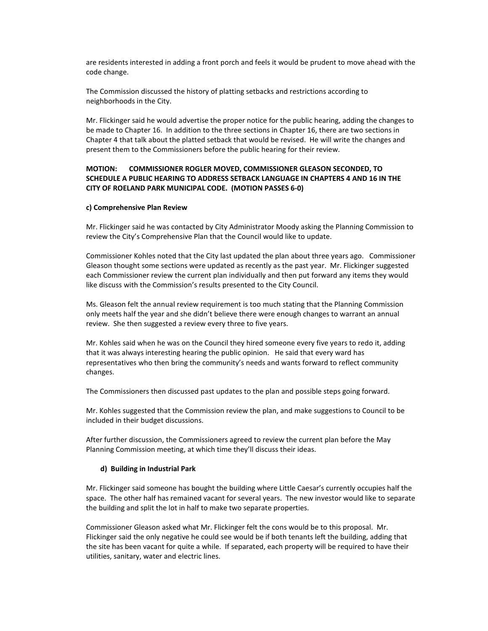are residents interested in adding a front porch and feels it would be prudent to move ahead with the code change.

The Commission discussed the history of platting setbacks and restrictions according to neighborhoods in the City.

Mr. Flickinger said he would advertise the proper notice for the public hearing, adding the changes to be made to Chapter 16. In addition to the three sections in Chapter 16, there are two sections in Chapter 4 that talk about the platted setback that would be revised. He will write the changes and present them to the Commissioners before the public hearing for their review.

### **MOTION: COMMISSIONER ROGLER MOVED, COMMISSIONER GLEASON SECONDED, TO SCHEDULE A PUBLIC HEARING TO ADDRESS SETBACK LANGUAGE IN CHAPTERS 4 AND 16 IN THE CITY OF ROELAND PARK MUNICIPAL CODE. (MOTION PASSES 6-0)**

#### **c) Comprehensive Plan Review**

Mr. Flickinger said he was contacted by City Administrator Moody asking the Planning Commission to review the City's Comprehensive Plan that the Council would like to update.

Commissioner Kohles noted that the City last updated the plan about three years ago. Commissioner Gleason thought some sections were updated as recently as the past year. Mr. Flickinger suggested each Commissioner review the current plan individually and then put forward any items they would like discuss with the Commission's results presented to the City Council.

Ms. Gleason felt the annual review requirement is too much stating that the Planning Commission only meets half the year and she didn't believe there were enough changes to warrant an annual review. She then suggested a review every three to five years.

Mr. Kohles said when he was on the Council they hired someone every five years to redo it, adding that it was always interesting hearing the public opinion. He said that every ward has representatives who then bring the community's needs and wants forward to reflect community changes.

The Commissioners then discussed past updates to the plan and possible steps going forward.

Mr. Kohles suggested that the Commission review the plan, and make suggestions to Council to be included in their budget discussions.

After further discussion, the Commissioners agreed to review the current plan before the May Planning Commission meeting, at which time they'll discuss their ideas.

#### **d) Building in Industrial Park**

Mr. Flickinger said someone has bought the building where Little Caesar's currently occupies half the space. The other half has remained vacant for several years. The new investor would like to separate the building and split the lot in half to make two separate properties.

Commissioner Gleason asked what Mr. Flickinger felt the cons would be to this proposal. Mr. Flickinger said the only negative he could see would be if both tenants left the building, adding that the site has been vacant for quite a while. If separated, each property will be required to have their utilities, sanitary, water and electric lines.